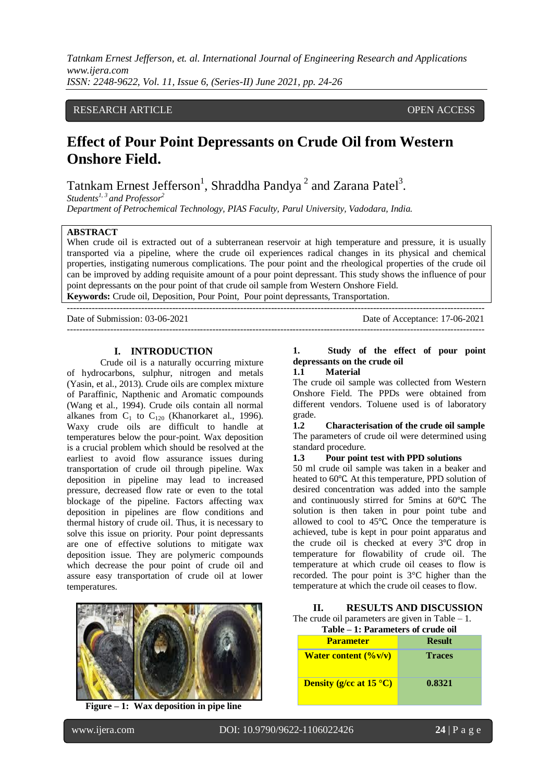*Tatnkam Ernest Jefferson, et. al. International Journal of Engineering Research and Applications www.ijera.com ISSN: 2248-9622, Vol. 11, Issue 6, (Series-II) June 2021, pp. 24-26*

### RESEARCH ARTICLE **OPEN ACCESS**

# **Effect of Pour Point Depressants on Crude Oil from Western Onshore Field.**

Tatnkam Ernest Jefferson<sup>1</sup>, Shraddha Pandya<sup>2</sup> and Zarana Patel<sup>3</sup>.

*Students1, 3 and Professor<sup>2</sup>*

*Department of Petrochemical Technology, PIAS Faculty, Parul University, Vadodara, India.*

#### **ABSTRACT**

When crude oil is extracted out of a subterranean reservoir at high temperature and pressure, it is usually transported via a pipeline, where the crude oil experiences radical changes in its physical and chemical properties, instigating numerous complications. The pour point and the rheological properties of the crude oil can be improved by adding requisite amount of a pour point depressant. This study shows the influence of pour point depressants on the pour point of that crude oil sample from Western Onshore Field.

**Keywords:** Crude oil, Deposition, Pour Point, Pour point depressants, Transportation. ---------------------------------------------------------------------------------------------------------------------------------------

Date of Submission: 03-06-2021 Date of Acceptance: 17-06-2021

---------------------------------------------------------------------------------------------------------------------------------------

#### **I. INTRODUCTION**

Crude oil is a naturally occurring mixture of hydrocarbons, sulphur, nitrogen and metals (Yasin, et al., 2013). Crude oils are complex mixture of Paraffinic, Napthenic and Aromatic compounds (Wang et al*.,* 1994). Crude oils contain all normal alkanes from  $C_1$  to  $C_{120}$  (Khanorkaret al., 1996). Waxy crude oils are difficult to handle at temperatures below the pour-point. Wax deposition is a crucial problem which should be resolved at the earliest to avoid flow assurance issues during transportation of crude oil through pipeline. Wax deposition in pipeline may lead to increased pressure, decreased flow rate or even to the total blockage of the pipeline. Factors affecting wax deposition in pipelines are flow conditions and thermal history of crude oil. Thus, it is necessary to solve this issue on priority. Pour point depressants are one of effective solutions to mitigate wax deposition issue. They are polymeric compounds which decrease the pour point of crude oil and assure easy transportation of crude oil at lower temperatures.



**Figure – 1: Wax deposition in pipe line**

# **1. Study of the effect of pour point depressants on the crude oil**

#### **1.1 Material**

The crude oil sample was collected from Western Onshore Field. The PPDs were obtained from different vendors. Toluene used is of laboratory grade.

**1.2 Characterisation of the crude oil sample** The parameters of crude oil were determined using standard procedure.

#### **1.3 Pour point test with PPD solutions**

50 ml crude oil sample was taken in a beaker and heated to 60℃. At this temperature, PPD solution of desired concentration was added into the sample and continuously stirred for 5mins at 60℃. The solution is then taken in pour point tube and allowed to cool to 45℃. Once the temperature is achieved, tube is kept in pour point apparatus and the crude oil is checked at every 3℃ drop in temperature for flowability of crude oil. The temperature at which crude oil ceases to flow is recorded. The pour point is 3°C higher than the temperature at which the crude oil ceases to flow.

# **II. RESULTS AND DISCUSSION** The crude oil parameters are given in Table  $-1$ .

| Table – 1: Parameters of crude oil |               |  |  |
|------------------------------------|---------------|--|--|
| <b>Parameter</b>                   | <b>Result</b> |  |  |
| <b>Water content (%v/v)</b>        | <b>Traces</b> |  |  |
| <b>Density (g/cc at 15 °C)</b>     | 0.8321        |  |  |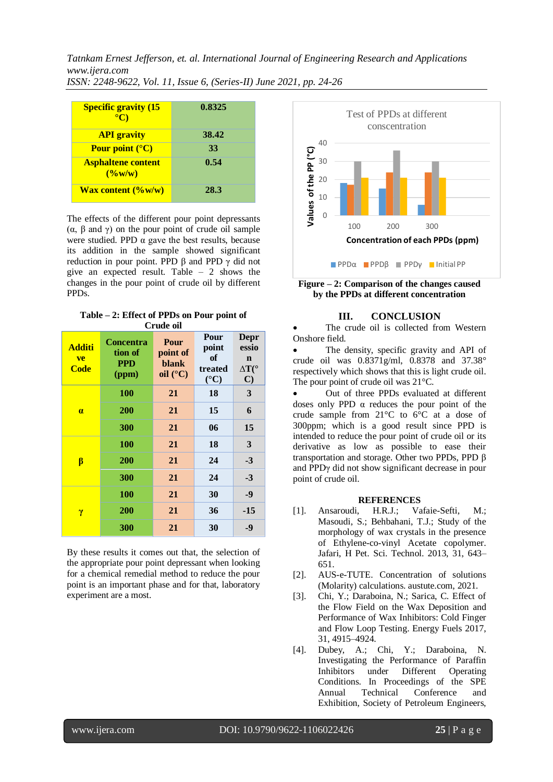*Tatnkam Ernest Jefferson, et. al. International Journal of Engineering Research and Applications www.ijera.com ISSN: 2248-9622, Vol. 11, Issue 6, (Series-II) June 2021, pp. 24-26*

| <b>Specific gravity (15</b><br>$\rm ^{\circ}C$       | 0.8325 |
|------------------------------------------------------|--------|
| <b>API</b> gravity                                   | 38.42  |
| Pour point $(^{\circ}C)$                             | 33     |
| <b>Asphaltene content</b><br>$(\frac{0}{\omega w}w)$ | 0.54   |
| <b>Wax content <math>(\%w/w)</math></b>              | 28.3   |

The effects of the different pour point depressants (α, β and γ) on the pour point of crude oil sample were studied. PPD  $\alpha$  gave the best results, because its addition in the sample showed significant reduction in pour point. PPD  $\beta$  and PPD  $\gamma$  did not give an expected result. Table – 2 shows the changes in the pour point of crude oil by different PPDs.

| Table $-2$ : Effect of PPDs on Pour point of |  |
|----------------------------------------------|--|
| Crude oil                                    |  |

| uut vu                             |                                                    |                                                |                                                   |                                                                            |  |  |
|------------------------------------|----------------------------------------------------|------------------------------------------------|---------------------------------------------------|----------------------------------------------------------------------------|--|--|
| <b>Additi</b><br>ve<br><b>Code</b> | <b>Concentra</b><br>tion of<br><b>PPD</b><br>(ppm) | Pour<br>point of<br>blank<br>oil $(^{\circ}C)$ | Pour<br>point<br>of<br>treated<br>$({}^{\circ}C)$ | <b>Depr</b><br>essio<br>$\mathbf n$<br>$\Delta T(^{\circ}$<br>$\mathbf{C}$ |  |  |
| $\alpha$                           | <b>100</b>                                         | 21                                             | 18                                                | 3                                                                          |  |  |
|                                    | 200                                                | 21                                             | 15                                                | 6                                                                          |  |  |
|                                    | 300                                                | 21                                             | 06                                                | 15                                                                         |  |  |
| β                                  | 100                                                | 21                                             | 18                                                | 3                                                                          |  |  |
|                                    | 200                                                | 21                                             | 24                                                | $-3$                                                                       |  |  |
|                                    | 300                                                | 21                                             | 24                                                | $-3$                                                                       |  |  |
| γ                                  | 100                                                | 21                                             | 30                                                | $-9$                                                                       |  |  |
|                                    | 200                                                | 21                                             | 36                                                | $-15$                                                                      |  |  |
|                                    | 300                                                | 21                                             | 30                                                | $-9$                                                                       |  |  |

By these results it comes out that, the selection of the appropriate pour point depressant when looking for a chemical remedial method to reduce the pour point is an important phase and for that, laboratory experiment are a most.



**Figure – 2: Comparison of the changes caused by the PPDs at different concentration**

## **III. CONCLUSION**

 The crude oil is collected from Western Onshore field.

 The density, specific gravity and API of crude oil was 0.8371g/ml, 0.8378 and 37.38° respectively which shows that this is light crude oil. The pour point of crude oil was 21°C.

 Out of three PPDs evaluated at different doses only PPD α reduces the pour point of the crude sample from 21°C to 6°C at a dose of 300ppm; which is a good result since PPD is intended to reduce the pour point of crude oil or its derivative as low as possible to ease their transportation and storage. Other two PPDs, PPD β and PPDγ did not show significant decrease in pour point of crude oil.

#### **REFERENCES**

- [1]. Ansaroudi, H.R.J.; Vafaie-Sefti, M.; Masoudi, S.; Behbahani, T.J.; Study of the morphology of wax crystals in the presence of Ethylene-co-vinyl Acetate copolymer. Jafari, H Pet. Sci. Technol. 2013, 31, 643– 651.
- [2]. AUS-e-TUTE. Concentration of solutions (Molarity) calculations. austute.com, 2021.
- [3]. Chi, Y.; Daraboina, N.; Sarica, C. Effect of the Flow Field on the Wax Deposition and Performance of Wax Inhibitors: Cold Finger and Flow Loop Testing. Energy Fuels 2017, 31, 4915–4924.
- [4]. Dubey, A.; Chi, Y.; Daraboina, N. Investigating the Performance of Paraffin Inhibitors under Different Operating Conditions. In Proceedings of the SPE Annual Technical Conference and Exhibition, Society of Petroleum Engineers,